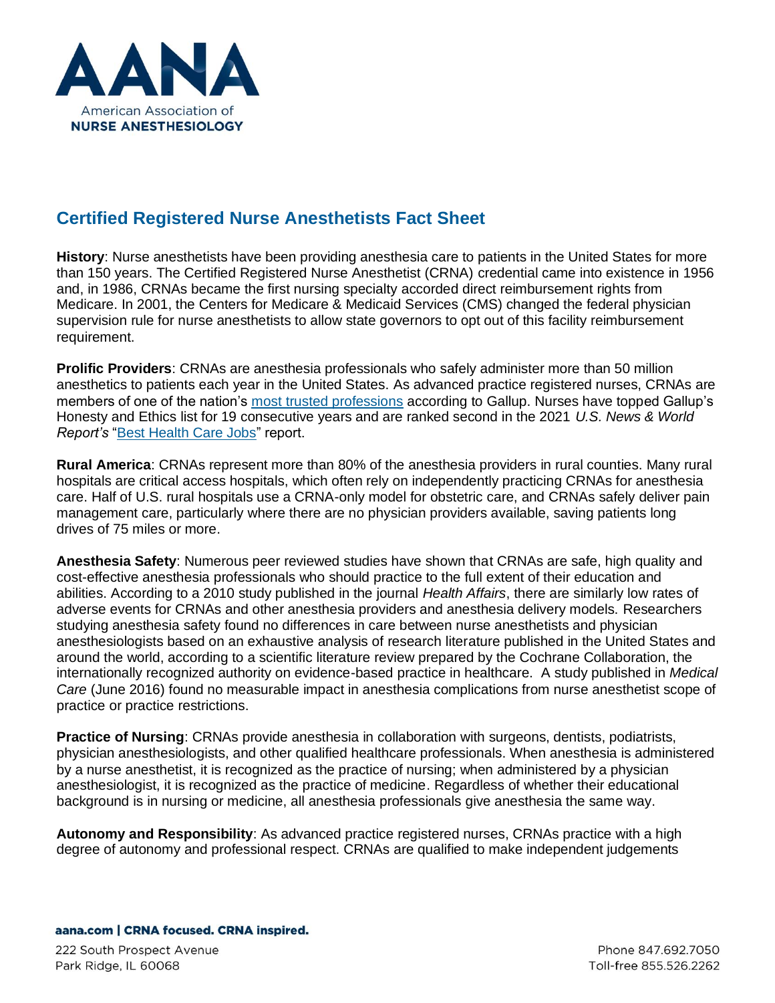

## **Certified Registered Nurse Anesthetists Fact Sheet**

**History**: Nurse anesthetists have been providing anesthesia care to patients in the United States for more than 150 years. The Certified Registered Nurse Anesthetist (CRNA) credential came into existence in 1956 and, in 1986, CRNAs became the first nursing specialty accorded direct reimbursement rights from Medicare. In 2001, the Centers for Medicare & Medicaid Services (CMS) changed the federal physician supervision rule for nurse anesthetists to allow state governors to opt out of this facility reimbursement requirement.

**Prolific Providers**: CRNAs are anesthesia professionals who safely administer more than 50 million anesthetics to patients each year in the United States. As advanced practice registered nurses, CRNAs are members of one of the nation's [most trusted professions](https://news.gallup.com/poll/328136/ethics-ratings-rise-medical-workers-teachers.aspx) according to Gallup. Nurses have topped Gallup's Honesty and Ethics list for 19 consecutive years and are ranked second in the 2021 *U.S. News & World Report's* ["Best Health Care Jobs"](https://money.usnews.com/careers/best-jobs/rankings/best-healthcare-jobs) report.

**Rural America**: CRNAs represent more than 80% of the anesthesia providers in rural counties. Many rural hospitals are critical access hospitals, which often rely on independently practicing CRNAs for anesthesia care. Half of U.S. rural hospitals use a CRNA-only model for obstetric care, and CRNAs safely deliver pain management care, particularly where there are no physician providers available, saving patients long drives of 75 miles or more.

**Anesthesia Safety**: Numerous peer reviewed studies have shown that CRNAs are safe, high quality and cost-effective anesthesia professionals who should practice to the full extent of their education and abilities. According to a 2010 study published in the journal *Health Affairs*, there are similarly low rates of adverse events for CRNAs and other anesthesia providers and anesthesia delivery models. Researchers studying anesthesia safety found no differences in care between nurse anesthetists and physician anesthesiologists based on an exhaustive analysis of research literature published in the United States and around the world, according to a scientific literature review prepared by the Cochrane Collaboration, the internationally recognized authority on evidence-based practice in healthcare. A study published in *Medical Care* (June 2016) found no measurable impact in anesthesia complications from nurse anesthetist scope of practice or practice restrictions.

**Practice of Nursing**: CRNAs provide anesthesia in collaboration with surgeons, dentists, podiatrists, physician anesthesiologists, and other qualified healthcare professionals. When anesthesia is administered by a nurse anesthetist, it is recognized as the practice of nursing; when administered by a physician anesthesiologist, it is recognized as the practice of medicine. Regardless of whether their educational background is in nursing or medicine, all anesthesia professionals give anesthesia the same way.

**Autonomy and Responsibility**: As advanced practice registered nurses, CRNAs practice with a high degree of autonomy and professional respect. CRNAs are qualified to make independent judgements

## aana.com | CRNA focused. CRNA inspired.

222 South Prospect Avenue Park Ridge, IL 60068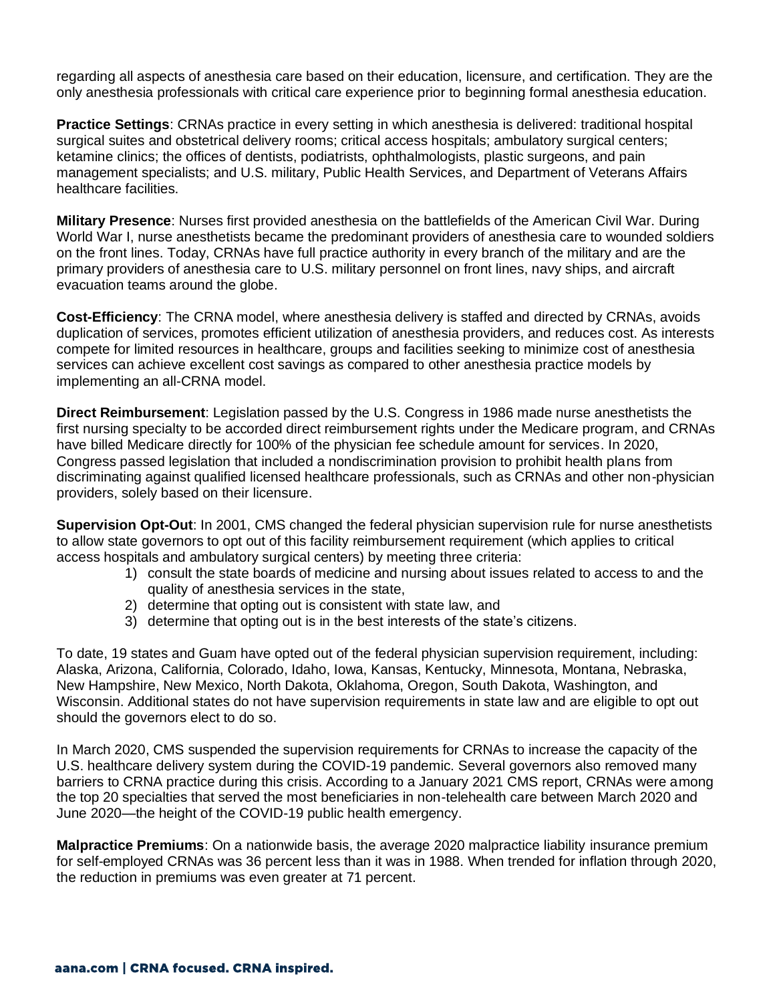regarding all aspects of anesthesia care based on their education, licensure, and certification. They are the only anesthesia professionals with critical care experience prior to beginning formal anesthesia education.

**Practice Settings**: CRNAs practice in every setting in which anesthesia is delivered: traditional hospital surgical suites and obstetrical delivery rooms; critical access hospitals; ambulatory surgical centers; ketamine clinics; the offices of dentists, podiatrists, ophthalmologists, plastic surgeons, and pain management specialists; and U.S. military, Public Health Services, and Department of Veterans Affairs healthcare facilities.

**Military Presence**: Nurses first provided anesthesia on the battlefields of the American Civil War. During World War I, nurse anesthetists became the predominant providers of anesthesia care to wounded soldiers on the front lines. Today, CRNAs have full practice authority in every branch of the military and are the primary providers of anesthesia care to U.S. military personnel on front lines, navy ships, and aircraft evacuation teams around the globe.

**Cost-Efficiency**: The CRNA model, where anesthesia delivery is staffed and directed by CRNAs, avoids duplication of services, promotes efficient utilization of anesthesia providers, and reduces cost. As interests compete for limited resources in healthcare, groups and facilities seeking to minimize cost of anesthesia services can achieve excellent cost savings as compared to other anesthesia practice models by implementing an all-CRNA model.

**Direct Reimbursement**: Legislation passed by the U.S. Congress in 1986 made nurse anesthetists the first nursing specialty to be accorded direct reimbursement rights under the Medicare program, and CRNAs have billed Medicare directly for 100% of the physician fee schedule amount for services. In 2020, Congress passed legislation that included a nondiscrimination provision to prohibit health plans from discriminating against qualified licensed healthcare professionals, such as CRNAs and other non-physician providers, solely based on their licensure.

**Supervision Opt-Out**: In 2001, CMS changed the federal physician supervision rule for nurse anesthetists to allow state governors to opt out of this facility reimbursement requirement (which applies to critical access hospitals and ambulatory surgical centers) by meeting three criteria:

- 1) consult the state boards of medicine and nursing about issues related to access to and the quality of anesthesia services in the state,
- 2) determine that opting out is consistent with state law, and
- 3) determine that opting out is in the best interests of the state's citizens.

To date, 19 states and Guam have opted out of the federal physician supervision requirement, including: Alaska, Arizona, California, Colorado, Idaho, Iowa, Kansas, Kentucky, Minnesota, Montana, Nebraska, New Hampshire, New Mexico, North Dakota, Oklahoma, Oregon, South Dakota, Washington, and Wisconsin. Additional states do not have supervision requirements in state law and are eligible to opt out should the governors elect to do so.

In March 2020, CMS suspended the supervision requirements for CRNAs to increase the capacity of the U.S. healthcare delivery system during the COVID-19 pandemic. Several governors also removed many barriers to CRNA practice during this crisis. According to a January 2021 CMS report, CRNAs were among the top 20 specialties that served the most beneficiaries in non-telehealth care between March 2020 and June 2020—the height of the COVID-19 public health emergency.

**Malpractice Premiums**: On a nationwide basis, the average 2020 malpractice liability insurance premium for self-employed CRNAs was 36 percent less than it was in 1988. When trended for inflation through 2020, the reduction in premiums was even greater at 71 percent.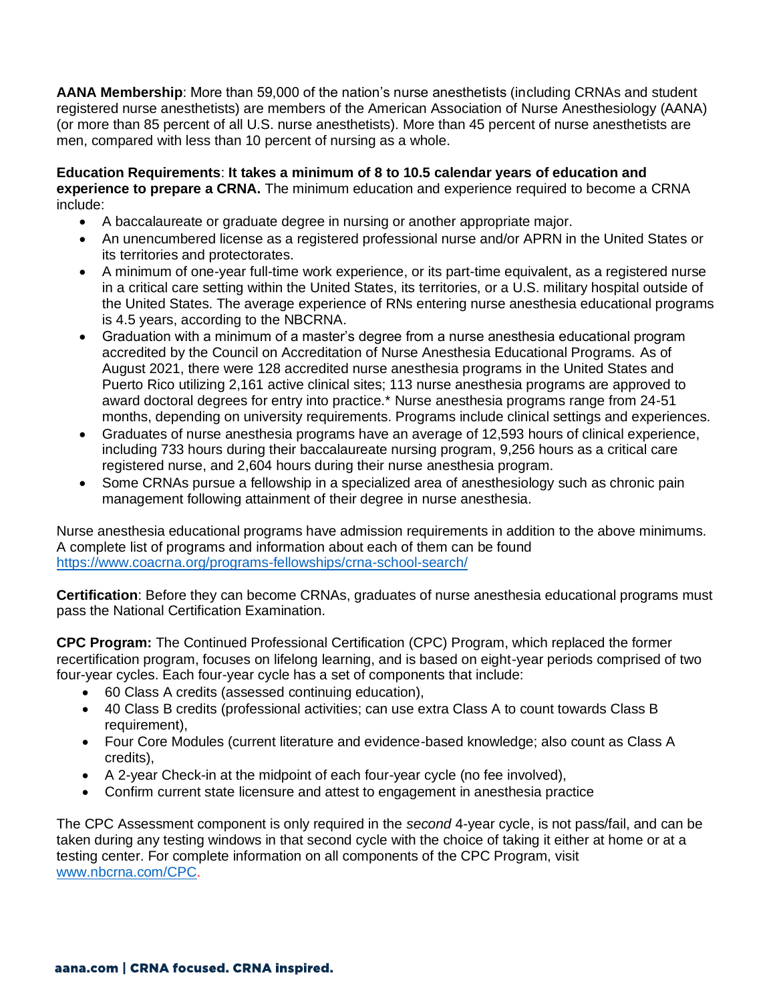**AANA Membership**: More than 59,000 of the nation's nurse anesthetists (including CRNAs and student registered nurse anesthetists) are members of the American Association of Nurse Anesthesiology (AANA) (or more than 85 percent of all U.S. nurse anesthetists). More than 45 percent of nurse anesthetists are men, compared with less than 10 percent of nursing as a whole.

**Education Requirements**: **It takes a minimum of 8 to 10.5 calendar years of education and experience to prepare a CRNA.** The minimum education and experience required to become a CRNA include:

- A baccalaureate or graduate degree in nursing or another appropriate major.
- An unencumbered license as a registered professional nurse and/or APRN in the United States or its territories and protectorates.
- A minimum of one-year full-time work experience, or its part-time equivalent, as a registered nurse in a critical care setting within the United States, its territories, or a U.S. military hospital outside of the United States. The average experience of RNs entering nurse anesthesia educational programs is 4.5 years, according to the NBCRNA.
- Graduation with a minimum of a master's degree from a nurse anesthesia educational program accredited by the Council on Accreditation of Nurse Anesthesia Educational Programs. As of August 2021, there were 128 accredited nurse anesthesia programs in the United States and Puerto Rico utilizing 2,161 active clinical sites; 113 nurse anesthesia programs are approved to award doctoral degrees for entry into practice.\* Nurse anesthesia programs range from 24-51 months, depending on university requirements. Programs include clinical settings and experiences.
- Graduates of nurse anesthesia programs have an average of 12,593 hours of clinical experience, including 733 hours during their baccalaureate nursing program, 9,256 hours as a critical care registered nurse, and 2,604 hours during their nurse anesthesia program.
- Some CRNAs pursue a fellowship in a specialized area of anesthesiology such as chronic pain management following attainment of their degree in nurse anesthesia.

Nurse anesthesia educational programs have admission requirements in addition to the above minimums. A complete list of programs and information about each of them can be found <https://www.coacrna.org/programs-fellowships/crna-school-search/>

**Certification**: Before they can become CRNAs, graduates of nurse anesthesia educational programs must pass the National Certification Examination.

**CPC Program:** The Continued Professional Certification (CPC) Program, which replaced the former recertification program, focuses on lifelong learning, and is based on eight-year periods comprised of two four-year cycles. Each four-year cycle has a set of components that include:

- 60 Class A credits (assessed continuing education),
- 40 Class B credits (professional activities; can use extra Class A to count towards Class B requirement),
- Four Core Modules (current literature and evidence-based knowledge; also count as Class A credits),
- A 2-year Check-in at the midpoint of each four-year cycle (no fee involved),
- Confirm current state licensure and attest to engagement in anesthesia practice

The CPC Assessment component is only required in the *second* 4-year cycle, is not pass/fail, and can be taken during any testing windows in that second cycle with the choice of taking it either at home or at a testing center. For complete information on all components of the CPC Program, visit [www.nbcrna.com/CPC.](https://protect-us.mimecast.com/s/p5e0CDk23NTkDz0tBFYZn?domain=nbcrna.com)